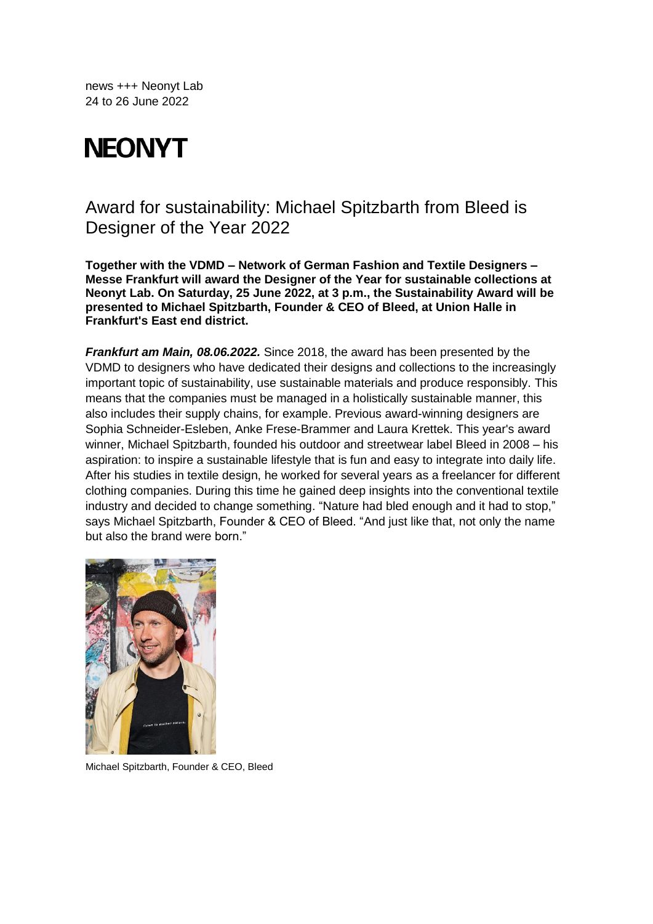news +++ Neonyt Lab 24 to 26 June 2022

# **NEONYT**

## Award for sustainability: Michael Spitzbarth from Bleed is Designer of the Year 2022

**Together with the VDMD – Network of German Fashion and Textile Designers – Messe Frankfurt will award the Designer of the Year for sustainable collections at Neonyt Lab. On Saturday, 25 June 2022, at 3 p.m., the Sustainability Award will be presented to Michael Spitzbarth, Founder & CEO of Bleed, at Union Halle in Frankfurt's East end district.**

*Frankfurt am Main, 08.06.2022.* Since 2018, the award has been presented by the VDMD to designers who have dedicated their designs and collections to the increasingly important topic of sustainability, use sustainable materials and produce responsibly. This means that the companies must be managed in a holistically sustainable manner, this also includes their supply chains, for example. Previous award-winning designers are Sophia Schneider-Esleben, Anke Frese-Brammer and Laura Krettek. This year's award winner, Michael Spitzbarth, founded his outdoor and streetwear label Bleed in 2008 – his aspiration: to inspire a sustainable lifestyle that is fun and easy to integrate into daily life. After his studies in textile design, he worked for several years as a freelancer for different clothing companies. During this time he gained deep insights into the conventional textile industry and decided to change something. "Nature had bled enough and it had to stop," says Michael Spitzbarth, Founder & CEO of Bleed. "And just like that, not only the name but also the brand were born."



Michael Spitzbarth, Founder & CEO, Bleed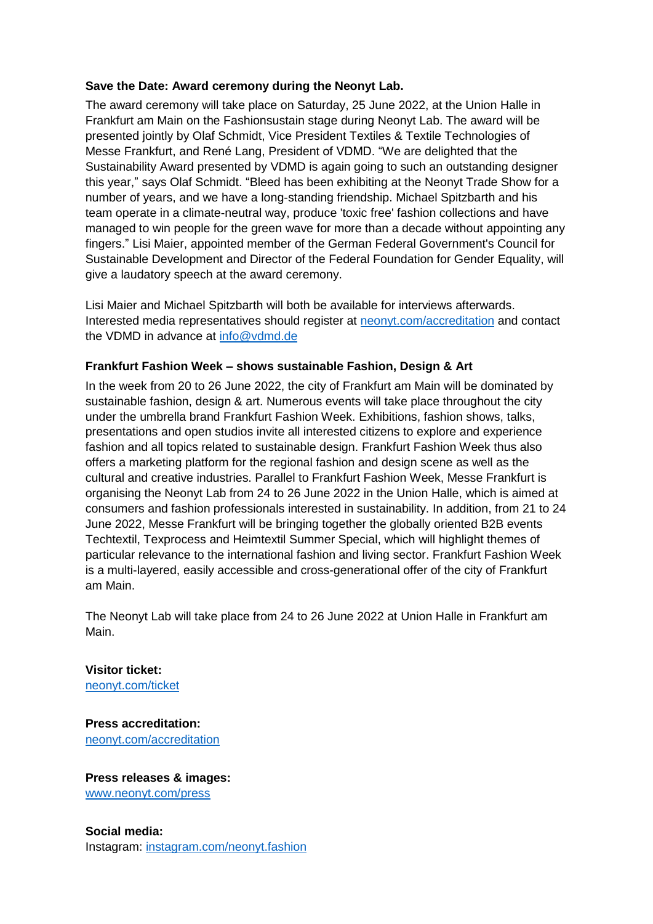### **Save the Date: Award ceremony during the Neonyt Lab.**

The award ceremony will take place on Saturday, 25 June 2022, at the Union Halle in Frankfurt am Main on the Fashionsustain stage during Neonyt Lab. The award will be presented jointly by Olaf Schmidt, Vice President Textiles & Textile Technologies of Messe Frankfurt, and René Lang, President of VDMD. "We are delighted that the Sustainability Award presented by VDMD is again going to such an outstanding designer this year," says Olaf Schmidt. "Bleed has been exhibiting at the Neonyt Trade Show for a number of years, and we have a long-standing friendship. Michael Spitzbarth and his team operate in a climate-neutral way, produce 'toxic free' fashion collections and have managed to win people for the green wave for more than a decade without appointing any fingers." Lisi Maier, appointed member of the German Federal Government's Council for Sustainable Development and Director of the Federal Foundation for Gender Equality, will give a laudatory speech at the award ceremony.

Lisi Maier and Michael Spitzbarth will both be available for interviews afterwards. Interested media representatives should register at [neonyt.com/accreditation](https://presseakkreditierung.messefrankfurt.com/pac/en/login.html) and contact the VDMD in advance at [info@vdmd.de](mailto:info@vdmd.de)

### **Frankfurt Fashion Week – shows sustainable Fashion, Design & Art**

In the week from 20 to 26 June 2022, the city of Frankfurt am Main will be dominated by sustainable fashion, design & art. Numerous events will take place throughout the city under the umbrella brand Frankfurt Fashion Week. Exhibitions, fashion shows, talks, presentations and open studios invite all interested citizens to explore and experience fashion and all topics related to sustainable design. Frankfurt Fashion Week thus also offers a marketing platform for the regional fashion and design scene as well as the cultural and creative industries. Parallel to Frankfurt Fashion Week, Messe Frankfurt is organising the Neonyt Lab from 24 to 26 June 2022 in the Union Halle, which is aimed at consumers and fashion professionals interested in sustainability. In addition, from 21 to 24 June 2022, Messe Frankfurt will be bringing together the globally oriented B2B events Techtextil, Texprocess and Heimtextil Summer Special, which will highlight themes of particular relevance to the international fashion and living sector. Frankfurt Fashion Week is a multi-layered, easily accessible and cross-generational offer of the city of Frankfurt am Main.

The Neonyt Lab will take place from 24 to 26 June 2022 at Union Halle in Frankfurt am Main.

**Visitor ticket:** [neonyt.com/ticket](https://visitortickets.messefrankfurt.com/ticket/de/ticket_select.html?reset_remove_personalized_tickets=true&_appshop=mf_tap20160620_1992)

**Press accreditation:** [neonyt.com/accreditation](https://presseakkreditierung.messefrankfurt.com/pac/en/login.html)

**Press releases & images:** [www.neonyt.com/press](http://www.neonyt.com/presse)

**Social media:** Instagram: [instagram.com/neonyt.fashion](https://www.instagram.com/neonyt.fashion/?hl=de)